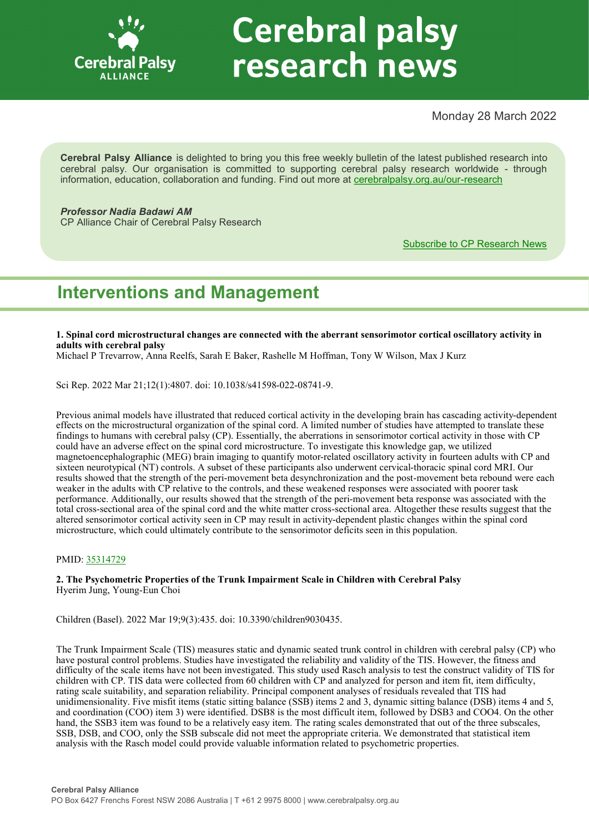

# **Cerebral palsy** research news

Monday 28 March 2022

**Cerebral Palsy Alliance** is delighted to bring you this free weekly bulletin of the latest published research into cerebral palsy. Our organisation is committed to supporting cerebral palsy research worldwide - through information, education, collaboration and funding. Find out more at [cerebralpalsy.org.au/our](https://cerebralpalsy.org.au/our-research/)-research

*Professor Nadia Badawi AM*

CP Alliance Chair of Cerebral Palsy Research

[Subscribe to CP Research News](https://cerebralpalsy.org.au/our-research/get-involved-research/cp-research-newsletters/)

# **Interventions and Management**

**1. Spinal cord microstructural changes are connected with the aberrant sensorimotor cortical oscillatory activity in adults with cerebral palsy**

Michael P Trevarrow, Anna Reelfs, Sarah E Baker, Rashelle M Hoffman, Tony W Wilson, Max J Kurz

Sci Rep. 2022 Mar 21;12(1):4807. doi: 10.1038/s41598-022-08741-9.

Previous animal models have illustrated that reduced cortical activity in the developing brain has cascading activity-dependent effects on the microstructural organization of the spinal cord. A limited number of studies have attempted to translate these findings to humans with cerebral palsy (CP). Essentially, the aberrations in sensorimotor cortical activity in those with CP could have an adverse effect on the spinal cord microstructure. To investigate this knowledge gap, we utilized magnetoencephalographic (MEG) brain imaging to quantify motor-related oscillatory activity in fourteen adults with CP and sixteen neurotypical (NT) controls. A subset of these participants also underwent cervical-thoracic spinal cord MRI. Our results showed that the strength of the peri-movement beta desynchronization and the post-movement beta rebound were each weaker in the adults with CP relative to the controls, and these weakened responses were associated with poorer task performance. Additionally, our results showed that the strength of the peri-movement beta response was associated with the total cross-sectional area of the spinal cord and the white matter cross-sectional area. Altogether these results suggest that the altered sensorimotor cortical activity seen in CP may result in activity-dependent plastic changes within the spinal cord microstructure, which could ultimately contribute to the sensorimotor deficits seen in this population.

# PMID: [35314729](http://www.ncbi.nlm.nih.gov/pubmed/35314729)

**2. The Psychometric Properties of the Trunk Impairment Scale in Children with Cerebral Palsy** Hyerim Jung, Young-Eun Choi

Children (Basel). 2022 Mar 19;9(3):435. doi: 10.3390/children9030435.

The Trunk Impairment Scale (TIS) measures static and dynamic seated trunk control in children with cerebral palsy (CP) who have postural control problems. Studies have investigated the reliability and validity of the TIS. However, the fitness and difficulty of the scale items have not been investigated. This study used Rasch analysis to test the construct validity of TIS for children with CP. TIS data were collected from 60 children with CP and analyzed for person and item fit, item difficulty, rating scale suitability, and separation reliability. Principal component analyses of residuals revealed that TIS had unidimensionality. Five misfit items (static sitting balance (SSB) items 2 and 3, dynamic sitting balance (DSB) items 4 and 5, and coordination (COO) item 3) were identified. DSB8 is the most difficult item, followed by DSB3 and COO4. On the other hand, the SSB3 item was found to be a relatively easy item. The rating scales demonstrated that out of the three subscales, SSB, DSB, and COO, only the SSB subscale did not meet the appropriate criteria. We demonstrated that statistical item analysis with the Rasch model could provide valuable information related to psychometric properties.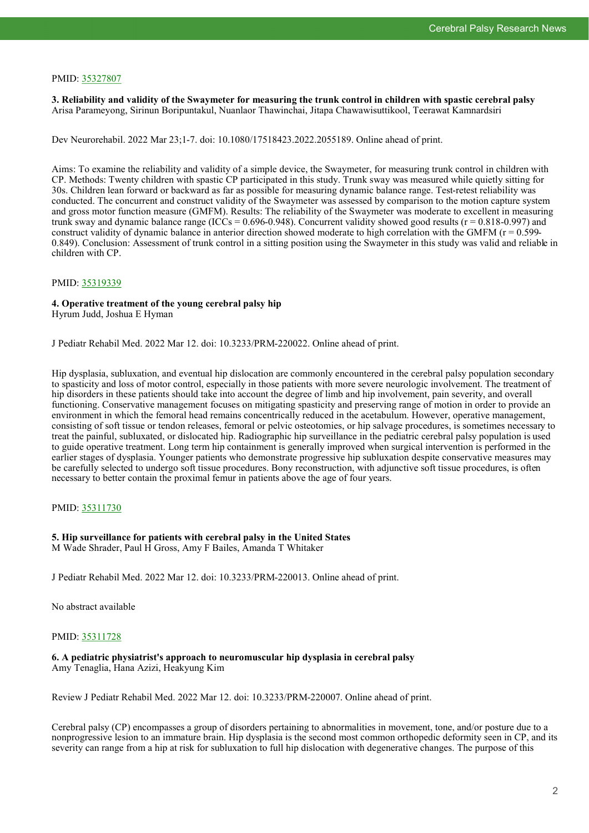# PMID: [35327807](http://www.ncbi.nlm.nih.gov/pubmed/35327807)

**3. Reliability and validity of the Swaymeter for measuring the trunk control in children with spastic cerebral palsy** Arisa Parameyong, Sirinun Boripuntakul, Nuanlaor Thawinchai, Jitapa Chawawisuttikool, Teerawat Kamnardsiri

Dev Neurorehabil. 2022 Mar 23;1-7. doi: 10.1080/17518423.2022.2055189. Online ahead of print.

Aims: To examine the reliability and validity of a simple device, the Swaymeter, for measuring trunk control in children with CP. Methods: Twenty children with spastic CP participated in this study. Trunk sway was measured while quietly sitting for 30s. Children lean forward or backward as far as possible for measuring dynamic balance range. Test-retest reliability was conducted. The concurrent and construct validity of the Swaymeter was assessed by comparison to the motion capture system and gross motor function measure (GMFM). Results: The reliability of the Swaymeter was moderate to excellent in measuring trunk sway and dynamic balance range (ICCs =  $0.696-0.948$ ). Concurrent validity showed good results ( $r = 0.818-0.997$ ) and construct validity of dynamic balance in anterior direction showed moderate to high correlation with the GMFM ( $r = 0.599$ -0.849). Conclusion: Assessment of trunk control in a sitting position using the Swaymeter in this study was valid and reliable in children with CP.

#### PMID: [35319339](http://www.ncbi.nlm.nih.gov/pubmed/35319339)

#### **4. Operative treatment of the young cerebral palsy hip** Hyrum Judd, Joshua E Hyman

J Pediatr Rehabil Med. 2022 Mar 12. doi: 10.3233/PRM-220022. Online ahead of print.

Hip dysplasia, subluxation, and eventual hip dislocation are commonly encountered in the cerebral palsy population secondary to spasticity and loss of motor control, especially in those patients with more severe neurologic involvement. The treatment of hip disorders in these patients should take into account the degree of limb and hip involvement, pain severity, and overall functioning. Conservative management focuses on mitigating spasticity and preserving range of motion in order to provide an environment in which the femoral head remains concentrically reduced in the acetabulum. However, operative management, consisting of soft tissue or tendon releases, femoral or pelvic osteotomies, or hip salvage procedures, is sometimes necessary to treat the painful, subluxated, or dislocated hip. Radiographic hip surveillance in the pediatric cerebral palsy population is used to guide operative treatment. Long term hip containment is generally improved when surgical intervention is performed in the earlier stages of dysplasia. Younger patients who demonstrate progressive hip subluxation despite conservative measures may be carefully selected to undergo soft tissue procedures. Bony reconstruction, with adjunctive soft tissue procedures, is often necessary to better contain the proximal femur in patients above the age of four years.

# PMID: [35311730](http://www.ncbi.nlm.nih.gov/pubmed/35311730)

#### **5. Hip surveillance for patients with cerebral palsy in the United States** M Wade Shrader, Paul H Gross, Amy F Bailes, Amanda T Whitaker

J Pediatr Rehabil Med. 2022 Mar 12. doi: 10.3233/PRM-220013. Online ahead of print.

No abstract available

# PMID: [35311728](http://www.ncbi.nlm.nih.gov/pubmed/35311728)

#### **6. A pediatric physiatrist's approach to neuromuscular hip dysplasia in cerebral palsy** Amy Tenaglia, Hana Azizi, Heakyung Kim

Review J Pediatr Rehabil Med. 2022 Mar 12. doi: 10.3233/PRM-220007. Online ahead of print.

Cerebral palsy (CP) encompasses a group of disorders pertaining to abnormalities in movement, tone, and/or posture due to a nonprogressive lesion to an immature brain. Hip dysplasia is the second most common orthopedic deformity seen in CP, and its severity can range from a hip at risk for subluxation to full hip dislocation with degenerative changes. The purpose of this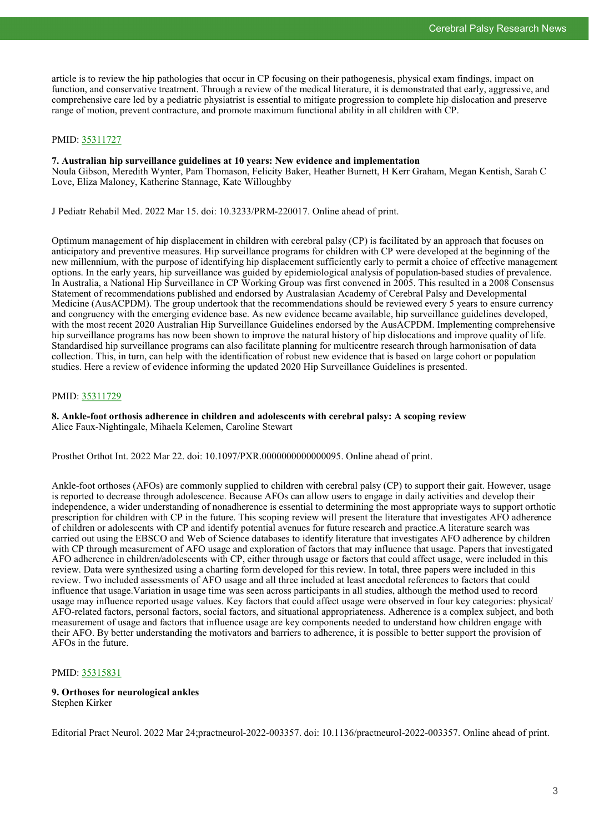article is to review the hip pathologies that occur in CP focusing on their pathogenesis, physical exam findings, impact on function, and conservative treatment. Through a review of the medical literature, it is demonstrated that early, aggressive, and comprehensive care led by a pediatric physiatrist is essential to mitigate progression to complete hip dislocation and preserve range of motion, prevent contracture, and promote maximum functional ability in all children with CP.

# PMID: [35311727](http://www.ncbi.nlm.nih.gov/pubmed/35311727)

#### **7. Australian hip surveillance guidelines at 10 years: New evidence and implementation**

Noula Gibson, Meredith Wynter, Pam Thomason, Felicity Baker, Heather Burnett, H Kerr Graham, Megan Kentish, Sarah C Love, Eliza Maloney, Katherine Stannage, Kate Willoughby

J Pediatr Rehabil Med. 2022 Mar 15. doi: 10.3233/PRM-220017. Online ahead of print.

Optimum management of hip displacement in children with cerebral palsy (CP) is facilitated by an approach that focuses on anticipatory and preventive measures. Hip surveillance programs for children with CP were developed at the beginning of the new millennium, with the purpose of identifying hip displacement sufficiently early to permit a choice of effective management options. In the early years, hip surveillance was guided by epidemiological analysis of population-based studies of prevalence. In Australia, a National Hip Surveillance in CP Working Group was first convened in 2005. This resulted in a 2008 Consensus Statement of recommendations published and endorsed by Australasian Academy of Cerebral Palsy and Developmental Medicine (AusACPDM). The group undertook that the recommendations should be reviewed every 5 years to ensure currency and congruency with the emerging evidence base. As new evidence became available, hip surveillance guidelines developed, with the most recent 2020 Australian Hip Surveillance Guidelines endorsed by the AusACPDM. Implementing comprehensive hip surveillance programs has now been shown to improve the natural history of hip dislocations and improve quality of life. Standardised hip surveillance programs can also facilitate planning for multicentre research through harmonisation of data collection. This, in turn, can help with the identification of robust new evidence that is based on large cohort or population studies. Here a review of evidence informing the updated 2020 Hip Surveillance Guidelines is presented.

# PMID: [35311729](http://www.ncbi.nlm.nih.gov/pubmed/35311729)

**8. Ankle-foot orthosis adherence in children and adolescents with cerebral palsy: A scoping review** Alice Faux-Nightingale, Mihaela Kelemen, Caroline Stewart

Prosthet Orthot Int. 2022 Mar 22. doi: 10.1097/PXR.0000000000000095. Online ahead of print.

Ankle-foot orthoses (AFOs) are commonly supplied to children with cerebral palsy (CP) to support their gait. However, usage is reported to decrease through adolescence. Because AFOs can allow users to engage in daily activities and develop their independence, a wider understanding of nonadherence is essential to determining the most appropriate ways to support orthotic prescription for children with CP in the future. This scoping review will present the literature that investigates AFO adherence of children or adolescents with CP and identify potential avenues for future research and practice.A literature search was carried out using the EBSCO and Web of Science databases to identify literature that investigates AFO adherence by children with CP through measurement of AFO usage and exploration of factors that may influence that usage. Papers that investigated AFO adherence in children/adolescents with CP, either through usage or factors that could affect usage, were included in this review. Data were synthesized using a charting form developed for this review. In total, three papers were included in this review. Two included assessments of AFO usage and all three included at least anecdotal references to factors that could influence that usage.Variation in usage time was seen across participants in all studies, although the method used to record usage may influence reported usage values. Key factors that could affect usage were observed in four key categories: physical/ AFO-related factors, personal factors, social factors, and situational appropriateness. Adherence is a complex subject, and both measurement of usage and factors that influence usage are key components needed to understand how children engage with their AFO. By better understanding the motivators and barriers to adherence, it is possible to better support the provision of AFOs in the future.

# PMID: [35315831](http://www.ncbi.nlm.nih.gov/pubmed/35315831)

#### **9. Orthoses for neurological ankles** Stephen Kirker

Editorial Pract Neurol. 2022 Mar 24;practneurol-2022-003357. doi: 10.1136/practneurol-2022-003357. Online ahead of print.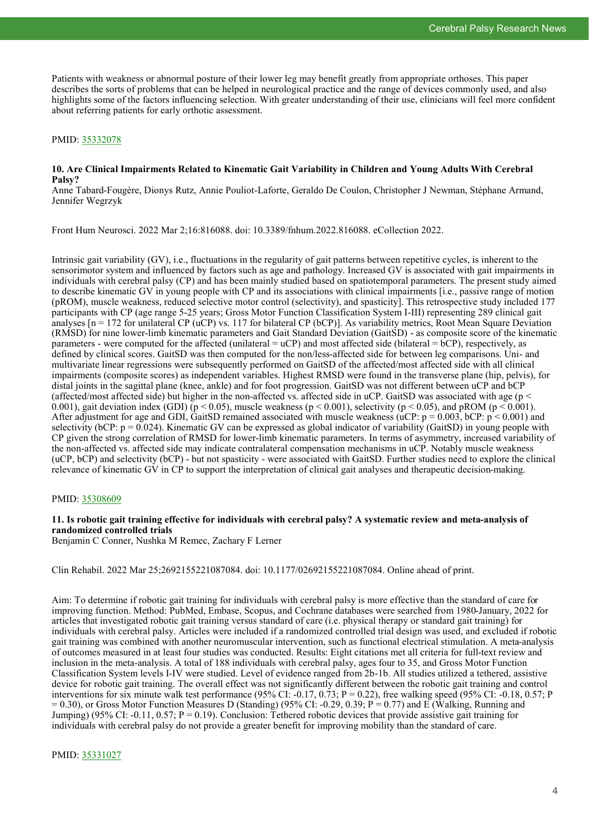Patients with weakness or abnormal posture of their lower leg may benefit greatly from appropriate orthoses. This paper describes the sorts of problems that can be helped in neurological practice and the range of devices commonly used, and also highlights some of the factors influencing selection. With greater understanding of their use, clinicians will feel more confident about referring patients for early orthotic assessment.

#### PMID: [35332078](http://www.ncbi.nlm.nih.gov/pubmed/35332078)

#### **10. Are Clinical Impairments Related to Kinematic Gait Variability in Children and Young Adults With Cerebral Palsy?**

Anne Tabard-Fougère, Dionys Rutz, Annie Pouliot-Laforte, Geraldo De Coulon, Christopher J Newman, Stéphane Armand, Jennifer Wegrzyk

Front Hum Neurosci. 2022 Mar 2;16:816088. doi: 10.3389/fnhum.2022.816088. eCollection 2022.

Intrinsic gait variability (GV), i.e., fluctuations in the regularity of gait patterns between repetitive cycles, is inherent to the sensorimotor system and influenced by factors such as age and pathology. Increased GV is associated with gait impairments in individuals with cerebral palsy (CP) and has been mainly studied based on spatiotemporal parameters. The present study aimed to describe kinematic GV in young people with CP and its associations with clinical impairments [i.e., passive range of motion (pROM), muscle weakness, reduced selective motor control (selectivity), and spasticity]. This retrospective study included 177 participants with CP (age range 5-25 years; Gross Motor Function Classification System I-III) representing 289 clinical gait analyses  $[n = 172$  for unilateral CP (uCP) vs. 117 for bilateral CP (bCP)]. As variability metrics, Root Mean Square Deviation (RMSD) for nine lower-limb kinematic parameters and Gait Standard Deviation (GaitSD) - as composite score of the kinematic parameters - were computed for the affected (unilateral = uCP) and most affected side (bilateral = bCP), respectively, as defined by clinical scores. GaitSD was then computed for the non/less-affected side for between leg comparisons. Uni- and multivariate linear regressions were subsequently performed on GaitSD of the affected/most affected side with all clinical impairments (composite scores) as independent variables. Highest RMSD were found in the transverse plane (hip, pelvis), for distal joints in the sagittal plane (knee, ankle) and for foot progression. GaitSD was not different between uCP and bCP (affected/most affected side) but higher in the non-affected vs. affected side in uCP. GaitSD was associated with age ( $p <$ 0.001), gait deviation index (GDI) ( $p < 0.05$ ), muscle weakness ( $p < 0.001$ ), selectivity ( $p < 0.05$ ), and pROM ( $p < 0.001$ ). After adjustment for age and GDI, GaitSD remained associated with muscle weakness (uCP:  $p = 0.003$ , bCP:  $p < 0.001$ ) and selectivity (bCP:  $p = 0.024$ ). Kinematic GV can be expressed as global indicator of variability (GaitSD) in young people with CP given the strong correlation of RMSD for lower-limb kinematic parameters. In terms of asymmetry, increased variability of the non-affected vs. affected side may indicate contralateral compensation mechanisms in uCP. Notably muscle weakness (uCP, bCP) and selectivity (bCP) - but not spasticity - were associated with GaitSD. Further studies need to explore the clinical relevance of kinematic GV in CP to support the interpretation of clinical gait analyses and therapeutic decision-making.

#### PMID: [35308609](http://www.ncbi.nlm.nih.gov/pubmed/35308609)

# **11. Is robotic gait training effective for individuals with cerebral palsy? A systematic review and meta-analysis of randomized controlled trials**

Benjamin C Conner, Nushka M Remec, Zachary F Lerner

Clin Rehabil. 2022 Mar 25;2692155221087084. doi: 10.1177/02692155221087084. Online ahead of print.

Aim: To determine if robotic gait training for individuals with cerebral palsy is more effective than the standard of care for improving function. Method: PubMed, Embase, Scopus, and Cochrane databases were searched from 1980-January, 2022 for articles that investigated robotic gait training versus standard of care (i.e. physical therapy or standard gait training) for individuals with cerebral palsy. Articles were included if a randomized controlled trial design was used, and excluded if robotic gait training was combined with another neuromuscular intervention, such as functional electrical stimulation. A meta-analysis of outcomes measured in at least four studies was conducted. Results: Eight citations met all criteria for full-text review and inclusion in the meta-analysis. A total of 188 individuals with cerebral palsy, ages four to 35, and Gross Motor Function Classification System levels I-IV were studied. Level of evidence ranged from 2b-1b. All studies utilized a tethered, assistive device for robotic gait training. The overall effect was not significantly different between the robotic gait training and control interventions for six minute walk test performance  $(95\% \text{ CI} \cdot -0.17, 0.73; P = 0.22)$ , free walking speed  $(95\% \text{ CI} \cdot -0.18, 0.57; P)$  $= 0.30$ ), or Gross Motor Function Measures D (Standing) (95% CI: -0.29, 0.39; P = 0.77) and E (Walking, Running and Jumping) (95% CI: -0.11, 0.57;  $P = 0.19$ ). Conclusion: Tethered robotic devices that provide assistive gait training for individuals with cerebral palsy do not provide a greater benefit for improving mobility than the standard of care.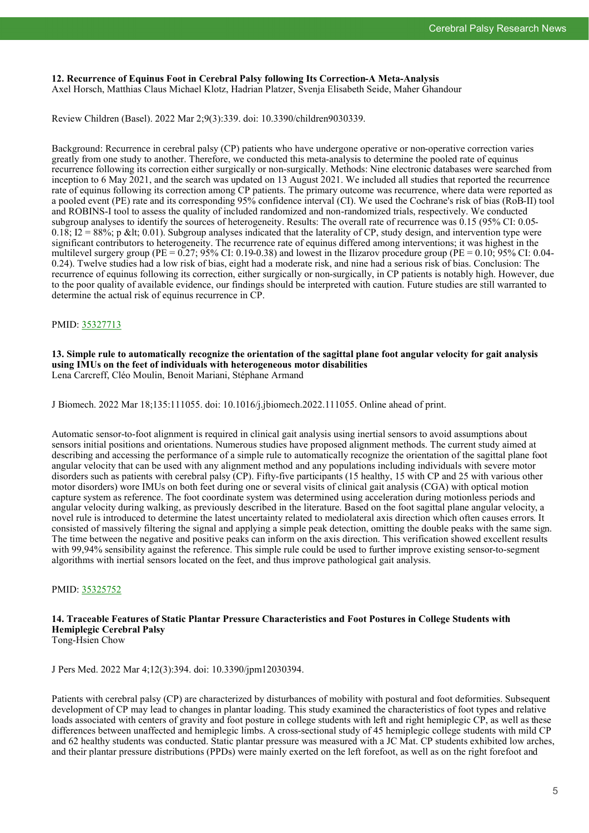# **12. Recurrence of Equinus Foot in Cerebral Palsy following Its Correction-A Meta-Analysis**

Axel Horsch, Matthias Claus Michael Klotz, Hadrian Platzer, Svenja Elisabeth Seide, Maher Ghandour

Review Children (Basel). 2022 Mar 2;9(3):339. doi: 10.3390/children9030339.

Background: Recurrence in cerebral palsy (CP) patients who have undergone operative or non-operative correction varies greatly from one study to another. Therefore, we conducted this meta-analysis to determine the pooled rate of equinus recurrence following its correction either surgically or non-surgically. Methods: Nine electronic databases were searched from inception to 6 May 2021, and the search was updated on 13 August 2021. We included all studies that reported the recurrence rate of equinus following its correction among CP patients. The primary outcome was recurrence, where data were reported as a pooled event (PE) rate and its corresponding 95% confidence interval (CI). We used the Cochrane's risk of bias (RoB-II) tool and ROBINS-I tool to assess the quality of included randomized and non-randomized trials, respectively. We conducted subgroup analyses to identify the sources of heterogeneity. Results: The overall rate of recurrence was 0.15 (95% CI: 0.05-  $0.18$ ;  $I2 = 88\%$ ; p < 0.01). Subgroup analyses indicated that the laterality of CP, study design, and intervention type were significant contributors to heterogeneity. The recurrence rate of equinus differed among interventions; it was highest in the multilevel surgery group (PE =  $0.27$ ; 95% CI: 0.19-0.38) and lowest in the Ilizarov procedure group (PE =  $0.10$ ; 95% CI: 0.04-0.24). Twelve studies had a low risk of bias, eight had a moderate risk, and nine had a serious risk of bias. Conclusion: The recurrence of equinus following its correction, either surgically or non-surgically, in CP patients is notably high. However, due to the poor quality of available evidence, our findings should be interpreted with caution. Future studies are still warranted to determine the actual risk of equinus recurrence in CP.

# PMID: [35327713](http://www.ncbi.nlm.nih.gov/pubmed/35327713)

**13. Simple rule to automatically recognize the orientation of the sagittal plane foot angular velocity for gait analysis using IMUs on the feet of individuals with heterogeneous motor disabilities** Lena Carcreff, Cléo Moulin, Benoit Mariani, Stéphane Armand

J Biomech. 2022 Mar 18;135:111055. doi: 10.1016/j.jbiomech.2022.111055. Online ahead of print.

Automatic sensor-to-foot alignment is required in clinical gait analysis using inertial sensors to avoid assumptions about sensors initial positions and orientations. Numerous studies have proposed alignment methods. The current study aimed at describing and accessing the performance of a simple rule to automatically recognize the orientation of the sagittal plane foot angular velocity that can be used with any alignment method and any populations including individuals with severe motor disorders such as patients with cerebral palsy (CP). Fifty-five participants (15 healthy, 15 with CP and 25 with various other motor disorders) wore IMUs on both feet during one or several visits of clinical gait analysis (CGA) with optical motion capture system as reference. The foot coordinate system was determined using acceleration during motionless periods and angular velocity during walking, as previously described in the literature. Based on the foot sagittal plane angular velocity, a novel rule is introduced to determine the latest uncertainty related to mediolateral axis direction which often causes errors. It consisted of massively filtering the signal and applying a simple peak detection, omitting the double peaks with the same sign. The time between the negative and positive peaks can inform on the axis direction. This verification showed excellent results with 99,94% sensibility against the reference. This simple rule could be used to further improve existing sensor-to-segment algorithms with inertial sensors located on the feet, and thus improve pathological gait analysis.

# PMID: [35325752](http://www.ncbi.nlm.nih.gov/pubmed/35325752)

#### **14. Traceable Features of Static Plantar Pressure Characteristics and Foot Postures in College Students with Hemiplegic Cerebral Palsy** Tong-Hsien Chow

J Pers Med. 2022 Mar 4;12(3):394. doi: 10.3390/jpm12030394.

Patients with cerebral palsy (CP) are characterized by disturbances of mobility with postural and foot deformities. Subsequent development of CP may lead to changes in plantar loading. This study examined the characteristics of foot types and relative loads associated with centers of gravity and foot posture in college students with left and right hemiplegic CP, as well as these differences between unaffected and hemiplegic limbs. A cross-sectional study of 45 hemiplegic college students with mild CP and 62 healthy students was conducted. Static plantar pressure was measured with a JC Mat. CP students exhibited low arches, and their plantar pressure distributions (PPDs) were mainly exerted on the left forefoot, as well as on the right forefoot and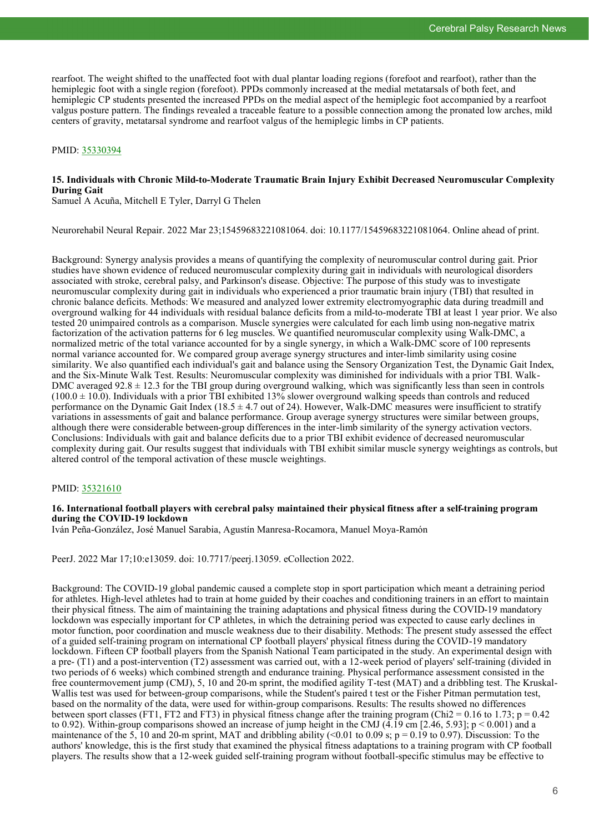rearfoot. The weight shifted to the unaffected foot with dual plantar loading regions (forefoot and rearfoot), rather than the hemiplegic foot with a single region (forefoot). PPDs commonly increased at the medial metatarsals of both feet, and hemiplegic CP students presented the increased PPDs on the medial aspect of the hemiplegic foot accompanied by a rearfoot valgus posture pattern. The findings revealed a traceable feature to a possible connection among the pronated low arches, mild centers of gravity, metatarsal syndrome and rearfoot valgus of the hemiplegic limbs in CP patients.

#### PMID: [35330394](http://www.ncbi.nlm.nih.gov/pubmed/35330394)

# **15. Individuals with Chronic Mild-to-Moderate Traumatic Brain Injury Exhibit Decreased Neuromuscular Complexity During Gait**

Samuel A Acuña, Mitchell E Tyler, Darryl G Thelen

Neurorehabil Neural Repair. 2022 Mar 23;15459683221081064. doi: 10.1177/15459683221081064. Online ahead of print.

Background: Synergy analysis provides a means of quantifying the complexity of neuromuscular control during gait. Prior studies have shown evidence of reduced neuromuscular complexity during gait in individuals with neurological disorders associated with stroke, cerebral palsy, and Parkinson's disease. Objective: The purpose of this study was to investigate neuromuscular complexity during gait in individuals who experienced a prior traumatic brain injury (TBI) that resulted in chronic balance deficits. Methods: We measured and analyzed lower extremity electromyographic data during treadmill and overground walking for 44 individuals with residual balance deficits from a mild-to-moderate TBI at least 1 year prior. We also tested 20 unimpaired controls as a comparison. Muscle synergies were calculated for each limb using non-negative matrix factorization of the activation patterns for 6 leg muscles. We quantified neuromuscular complexity using Walk-DMC, a normalized metric of the total variance accounted for by a single synergy, in which a Walk-DMC score of 100 represents normal variance accounted for. We compared group average synergy structures and inter-limb similarity using cosine similarity. We also quantified each individual's gait and balance using the Sensory Organization Test, the Dynamic Gait Index, and the Six-Minute Walk Test. Results: Neuromuscular complexity was diminished for individuals with a prior TBI. Walk-DMC averaged  $92.8 \pm 12.3$  for the TBI group during overground walking, which was significantly less than seen in controls  $(100.0 \pm 10.0)$ . Individuals with a prior TBI exhibited 13% slower overground walking speeds than controls and reduced performance on the Dynamic Gait Index (18.5  $\pm$  4.7 out of 24). However, Walk-DMC measures were insufficient to stratify variations in assessments of gait and balance performance. Group average synergy structures were similar between groups, although there were considerable between-group differences in the inter-limb similarity of the synergy activation vectors. Conclusions: Individuals with gait and balance deficits due to a prior TBI exhibit evidence of decreased neuromuscular complexity during gait. Our results suggest that individuals with TBI exhibit similar muscle synergy weightings as controls, but altered control of the temporal activation of these muscle weightings.

#### PMID: [35321610](http://www.ncbi.nlm.nih.gov/pubmed/35321610)

#### **16. International football players with cerebral palsy maintained their physical fitness after a self-training program during the COVID-19 lockdown**

Iván Peña-González, José Manuel Sarabia, Agustín Manresa-Rocamora, Manuel Moya-Ramón

PeerJ. 2022 Mar 17;10:e13059. doi: 10.7717/peerj.13059. eCollection 2022.

Background: The COVID-19 global pandemic caused a complete stop in sport participation which meant a detraining period for athletes. High-level athletes had to train at home guided by their coaches and conditioning trainers in an effort to maintain their physical fitness. The aim of maintaining the training adaptations and physical fitness during the COVID-19 mandatory lockdown was especially important for CP athletes, in which the detraining period was expected to cause early declines in motor function, poor coordination and muscle weakness due to their disability. Methods: The present study assessed the effect of a guided self-training program on international CP football players' physical fitness during the COVID-19 mandatory lockdown. Fifteen CP football players from the Spanish National Team participated in the study. An experimental design with a pre- (T1) and a post-intervention (T2) assessment was carried out, with a 12-week period of players' self-training (divided in two periods of 6 weeks) which combined strength and endurance training. Physical performance assessment consisted in the free countermovement jump (CMJ), 5, 10 and 20-m sprint, the modified agility T-test (MAT) and a dribbling test. The Kruskal-Wallis test was used for between-group comparisons, while the Student's paired t test or the Fisher Pitman permutation test, based on the normality of the data, were used for within-group comparisons. Results: The results showed no differences between sport classes (FT1, FT2 and FT3) in physical fitness change after the training program (Chi2 = 0.16 to 1.73;  $p = 0.42$ to 0.92). Within-group comparisons showed an increase of jump height in the CMJ (4.19 cm [2.46, 5.93];  $p < 0.001$ ) and a maintenance of the 5, 10 and 20-m sprint, MAT and dribbling ability (<0.01 to 0.09 s;  $p = 0.19$  to 0.97). Discussion: To the authors' knowledge, this is the first study that examined the physical fitness adaptations to a training program with CP football players. The results show that a 12-week guided self-training program without football-specific stimulus may be effective to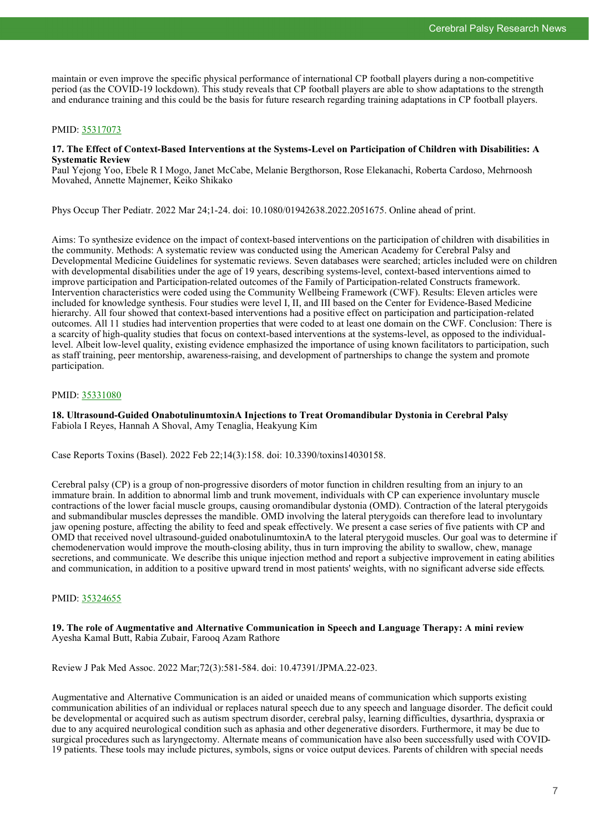maintain or even improve the specific physical performance of international CP football players during a non-competitive period (as the COVID-19 lockdown). This study reveals that CP football players are able to show adaptations to the strength and endurance training and this could be the basis for future research regarding training adaptations in CP football players.

# PMID: [35317073](http://www.ncbi.nlm.nih.gov/pubmed/35317073)

#### **17. The Effect of Context-Based Interventions at the Systems-Level on Participation of Children with Disabilities: A Systematic Review**

Paul Yejong Yoo, Ebele R I Mogo, Janet McCabe, Melanie Bergthorson, Rose Elekanachi, Roberta Cardoso, Mehrnoosh Movahed, Annette Majnemer, Keiko Shikako

Phys Occup Ther Pediatr. 2022 Mar 24;1-24. doi: 10.1080/01942638.2022.2051675. Online ahead of print.

Aims: To synthesize evidence on the impact of context-based interventions on the participation of children with disabilities in the community. Methods: A systematic review was conducted using the American Academy for Cerebral Palsy and Developmental Medicine Guidelines for systematic reviews. Seven databases were searched; articles included were on children with developmental disabilities under the age of 19 years, describing systems-level, context-based interventions aimed to improve participation and Participation-related outcomes of the Family of Participation-related Constructs framework. Intervention characteristics were coded using the Community Wellbeing Framework (CWF). Results: Eleven articles were included for knowledge synthesis. Four studies were level I, II, and III based on the Center for Evidence-Based Medicine hierarchy. All four showed that context-based interventions had a positive effect on participation and participation-related outcomes. All 11 studies had intervention properties that were coded to at least one domain on the CWF. Conclusion: There is a scarcity of high-quality studies that focus on context-based interventions at the systems-level, as opposed to the individuallevel. Albeit low-level quality, existing evidence emphasized the importance of using known facilitators to participation, such as staff training, peer mentorship, awareness-raising, and development of partnerships to change the system and promote participation.

# PMID: [35331080](http://www.ncbi.nlm.nih.gov/pubmed/35331080)

**18. Ultrasound-Guided OnabotulinumtoxinA Injections to Treat Oromandibular Dystonia in Cerebral Palsy** Fabiola I Reyes, Hannah A Shoval, Amy Tenaglia, Heakyung Kim

Case Reports Toxins (Basel). 2022 Feb 22;14(3):158. doi: 10.3390/toxins14030158.

Cerebral palsy (CP) is a group of non-progressive disorders of motor function in children resulting from an injury to an immature brain. In addition to abnormal limb and trunk movement, individuals with CP can experience involuntary muscle contractions of the lower facial muscle groups, causing oromandibular dystonia (OMD). Contraction of the lateral pterygoids and submandibular muscles depresses the mandible. OMD involving the lateral pterygoids can therefore lead to involuntary jaw opening posture, affecting the ability to feed and speak effectively. We present a case series of five patients with CP and OMD that received novel ultrasound-guided onabotulinumtoxinA to the lateral pterygoid muscles. Our goal was to determine if chemodenervation would improve the mouth-closing ability, thus in turn improving the ability to swallow, chew, manage secretions, and communicate. We describe this unique injection method and report a subjective improvement in eating abilities and communication, in addition to a positive upward trend in most patients' weights, with no significant adverse side effects.

# PMID: [35324655](http://www.ncbi.nlm.nih.gov/pubmed/35324655)

**19. The role of Augmentative and Alternative Communication in Speech and Language Therapy: A mini review** Ayesha Kamal Butt, Rabia Zubair, Farooq Azam Rathore

Review J Pak Med Assoc. 2022 Mar;72(3):581-584. doi: 10.47391/JPMA.22-023.

Augmentative and Alternative Communication is an aided or unaided means of communication which supports existing communication abilities of an individual or replaces natural speech due to any speech and language disorder. The deficit could be developmental or acquired such as autism spectrum disorder, cerebral palsy, learning difficulties, dysarthria, dyspraxia or due to any acquired neurological condition such as aphasia and other degenerative disorders. Furthermore, it may be due to surgical procedures such as laryngectomy. Alternate means of communication have also been successfully used with COVID-19 patients. These tools may include pictures, symbols, signs or voice output devices. Parents of children with special needs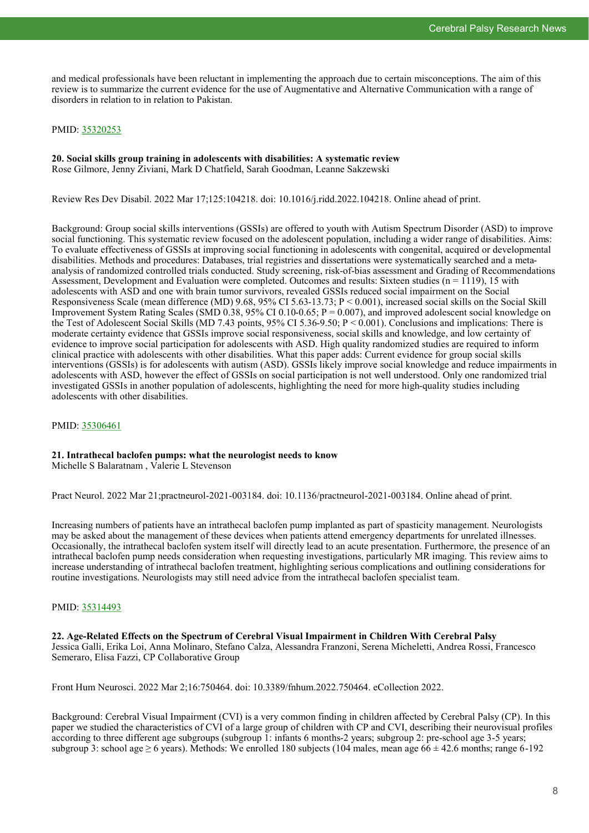and medical professionals have been reluctant in implementing the approach due to certain misconceptions. The aim of this review is to summarize the current evidence for the use of Augmentative and Alternative Communication with a range of disorders in relation to in relation to Pakistan.

# PMID: [35320253](http://www.ncbi.nlm.nih.gov/pubmed/35320253)

#### **20. Social skills group training in adolescents with disabilities: A systematic review** Rose Gilmore, Jenny Ziviani, Mark D Chatfield, Sarah Goodman, Leanne Sakzewski

Review Res Dev Disabil. 2022 Mar 17;125:104218. doi: 10.1016/j.ridd.2022.104218. Online ahead of print.

Background: Group social skills interventions (GSSIs) are offered to youth with Autism Spectrum Disorder (ASD) to improve social functioning. This systematic review focused on the adolescent population, including a wider range of disabilities. Aims: To evaluate effectiveness of GSSIs at improving social functioning in adolescents with congenital, acquired or developmental disabilities. Methods and procedures: Databases, trial registries and dissertations were systematically searched and a metaanalysis of randomized controlled trials conducted. Study screening, risk-of-bias assessment and Grading of Recommendations Assessment, Development and Evaluation were completed. Outcomes and results: Sixteen studies ( $n = 1119$ ), 15 with adolescents with ASD and one with brain tumor survivors, revealed GSSIs reduced social impairment on the Social Responsiveness Scale (mean difference (MD) 9.68, 95% CI 5.63-13.73; P < 0.001), increased social skills on the Social Skill Improvement System Rating Scales (SMD 0.38, 95% CI 0.10-0.65; P = 0.007), and improved adolescent social knowledge on the Test of Adolescent Social Skills (MD 7.43 points, 95% CI 5.36-9.50; P < 0.001). Conclusions and implications: There is moderate certainty evidence that GSSIs improve social responsiveness, social skills and knowledge, and low certainty of evidence to improve social participation for adolescents with ASD. High quality randomized studies are required to inform clinical practice with adolescents with other disabilities. What this paper adds: Current evidence for group social skills interventions (GSSIs) is for adolescents with autism (ASD). GSSIs likely improve social knowledge and reduce impairments in adolescents with ASD, however the effect of GSSIs on social participation is not well understood. Only one randomized trial investigated GSSIs in another population of adolescents, highlighting the need for more high-quality studies including adolescents with other disabilities.

# PMID: [35306461](http://www.ncbi.nlm.nih.gov/pubmed/35306461)

#### **21. Intrathecal baclofen pumps: what the neurologist needs to know** Michelle S Balaratnam , Valerie L Stevenson

Pract Neurol. 2022 Mar 21;practneurol-2021-003184. doi: 10.1136/practneurol-2021-003184. Online ahead of print.

Increasing numbers of patients have an intrathecal baclofen pump implanted as part of spasticity management. Neurologists may be asked about the management of these devices when patients attend emergency departments for unrelated illnesses. Occasionally, the intrathecal baclofen system itself will directly lead to an acute presentation. Furthermore, the presence of an intrathecal baclofen pump needs consideration when requesting investigations, particularly MR imaging. This review aims to increase understanding of intrathecal baclofen treatment, highlighting serious complications and outlining considerations for routine investigations. Neurologists may still need advice from the intrathecal baclofen specialist team.

# PMID: [35314493](http://www.ncbi.nlm.nih.gov/pubmed/35314493)

**22. Age-Related Effects on the Spectrum of Cerebral Visual Impairment in Children With Cerebral Palsy** Jessica Galli, Erika Loi, Anna Molinaro, Stefano Calza, Alessandra Franzoni, Serena Micheletti, Andrea Rossi, Francesco Semeraro, Elisa Fazzi, CP Collaborative Group

Front Hum Neurosci. 2022 Mar 2;16:750464. doi: 10.3389/fnhum.2022.750464. eCollection 2022.

Background: Cerebral Visual Impairment (CVI) is a very common finding in children affected by Cerebral Palsy (CP). In this paper we studied the characteristics of CVI of a large group of children with CP and CVI, describing their neurovisual profiles according to three different age subgroups (subgroup 1: infants 6 months-2 years; subgroup 2: pre-school age 3-5 years; subgroup 3: school age  $\geq 6$  years). Methods: We enrolled 180 subjects (104 males, mean age  $66 \pm 42.6$  months; range 6-192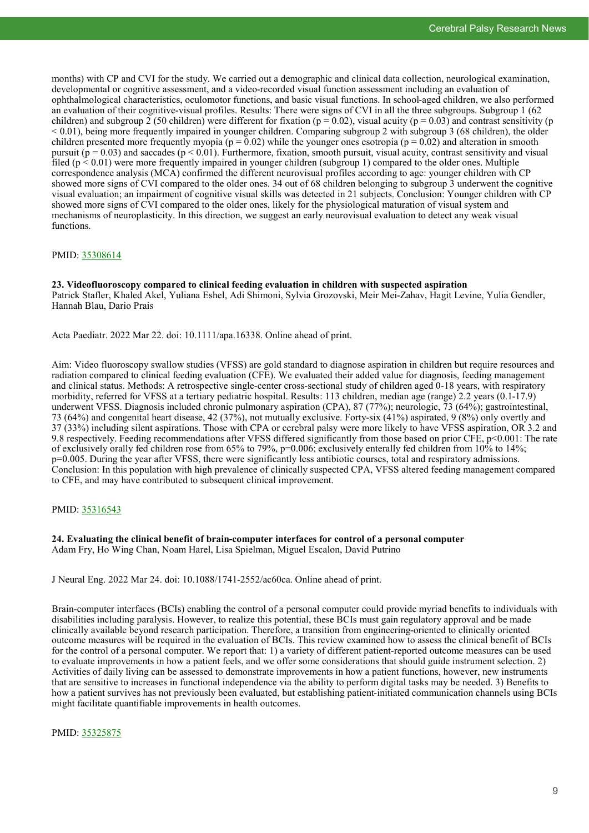months) with CP and CVI for the study. We carried out a demographic and clinical data collection, neurological examination, developmental or cognitive assessment, and a video-recorded visual function assessment including an evaluation of ophthalmological characteristics, oculomotor functions, and basic visual functions. In school-aged children, we also performed an evaluation of their cognitive-visual profiles. Results: There were signs of CVI in all the three subgroups. Subgroup 1 (62 children) and subgroup 2 (50 children) were different for fixation ( $p = 0.02$ ), visual acuity ( $p = 0.03$ ) and contrast sensitivity (p  $< 0.01$ ), being more frequently impaired in younger children. Comparing subgroup 2 with subgroup 3 (68 children), the older children presented more frequently myopia ( $p = 0.02$ ) while the younger ones esotropia ( $p = 0.02$ ) and alteration in smooth pursuit ( $p = 0.03$ ) and saccades ( $p \le 0.01$ ). Furthermore, fixation, smooth pursuit, visual acuity, contrast sensitivity and visual filed  $(p < 0.01)$  were more frequently impaired in younger children (subgroup 1) compared to the older ones. Multiple correspondence analysis (MCA) confirmed the different neurovisual profiles according to age: younger children with CP showed more signs of CVI compared to the older ones. 34 out of 68 children belonging to subgroup 3 underwent the cognitive visual evaluation; an impairment of cognitive visual skills was detected in 21 subjects. Conclusion: Younger children with CP showed more signs of CVI compared to the older ones, likely for the physiological maturation of visual system and mechanisms of neuroplasticity. In this direction, we suggest an early neurovisual evaluation to detect any weak visual functions.

#### PMID: [35308614](http://www.ncbi.nlm.nih.gov/pubmed/35308614)

**23. Videofluoroscopy compared to clinical feeding evaluation in children with suspected aspiration** Patrick Stafler, Khaled Akel, Yuliana Eshel, Adi Shimoni, Sylvia Grozovski, Meir Mei-Zahav, Hagit Levine, Yulia Gendler, Hannah Blau, Dario Prais

Acta Paediatr. 2022 Mar 22. doi: 10.1111/apa.16338. Online ahead of print.

Aim: Video fluoroscopy swallow studies (VFSS) are gold standard to diagnose aspiration in children but require resources and radiation compared to clinical feeding evaluation (CFE). We evaluated their added value for diagnosis, feeding management and clinical status. Methods: A retrospective single-center cross-sectional study of children aged 0-18 years, with respiratory morbidity, referred for VFSS at a tertiary pediatric hospital. Results: 113 children, median age (range) 2.2 years (0.1-17.9) underwent VFSS. Diagnosis included chronic pulmonary aspiration (CPA), 87 (77%); neurologic, 73 (64%); gastrointestinal, 73 (64%) and congenital heart disease, 42 (37%), not mutually exclusive. Forty-six (41%) aspirated, 9 (8%) only overtly and 37 (33%) including silent aspirations. Those with CPA or cerebral palsy were more likely to have VFSS aspiration, OR 3.2 and 9.8 respectively. Feeding recommendations after VFSS differed significantly from those based on prior CFE, p<0.001: The rate of exclusively orally fed children rose from 65% to 79%, p=0.006; exclusively enterally fed children from 10% to 14%; p=0.005. During the year after VFSS, there were significantly less antibiotic courses, total and respiratory admissions. Conclusion: In this population with high prevalence of clinically suspected CPA, VFSS altered feeding management compared to CFE, and may have contributed to subsequent clinical improvement.

# PMID: [35316543](http://www.ncbi.nlm.nih.gov/pubmed/35316543)

#### **24. Evaluating the clinical benefit of brain-computer interfaces for control of a personal computer** Adam Fry, Ho Wing Chan, Noam Harel, Lisa Spielman, Miguel Escalon, David Putrino

J Neural Eng. 2022 Mar 24. doi: 10.1088/1741-2552/ac60ca. Online ahead of print.

Brain-computer interfaces (BCIs) enabling the control of a personal computer could provide myriad benefits to individuals with disabilities including paralysis. However, to realize this potential, these BCIs must gain regulatory approval and be made clinically available beyond research participation. Therefore, a transition from engineering-oriented to clinically oriented outcome measures will be required in the evaluation of BCIs. This review examined how to assess the clinical benefit of BCIs for the control of a personal computer. We report that: 1) a variety of different patient-reported outcome measures can be used to evaluate improvements in how a patient feels, and we offer some considerations that should guide instrument selection. 2) Activities of daily living can be assessed to demonstrate improvements in how a patient functions, however, new instruments that are sensitive to increases in functional independence via the ability to perform digital tasks may be needed. 3) Benefits to how a patient survives has not previously been evaluated, but establishing patient-initiated communication channels using BCIs might facilitate quantifiable improvements in health outcomes.

PMID: [35325875](http://www.ncbi.nlm.nih.gov/pubmed/35325875)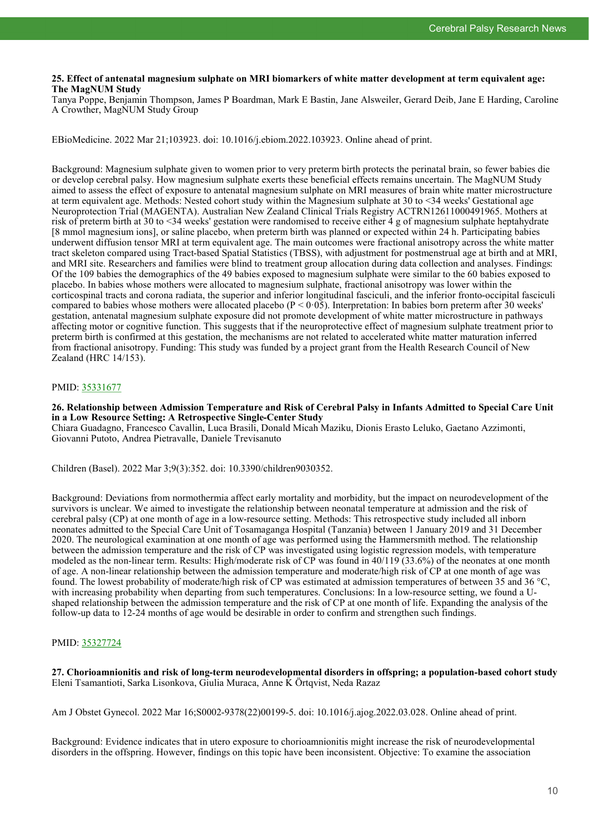# **25. Effect of antenatal magnesium sulphate on MRI biomarkers of white matter development at term equivalent age: The MagNUM Study**

Tanya Poppe, Benjamin Thompson, James P Boardman, Mark E Bastin, Jane Alsweiler, Gerard Deib, Jane E Harding, Caroline A Crowther, MagNUM Study Group

EBioMedicine. 2022 Mar 21;103923. doi: 10.1016/j.ebiom.2022.103923. Online ahead of print.

Background: Magnesium sulphate given to women prior to very preterm birth protects the perinatal brain, so fewer babies die or develop cerebral palsy. How magnesium sulphate exerts these beneficial effects remains uncertain. The MagNUM Study aimed to assess the effect of exposure to antenatal magnesium sulphate on MRI measures of brain white matter microstructure at term equivalent age. Methods: Nested cohort study within the Magnesium sulphate at 30 to <34 weeks' Gestational age Neuroprotection Trial (MAGENTA). Australian New Zealand Clinical Trials Registry ACTRN12611000491965. Mothers at risk of preterm birth at 30 to <34 weeks' gestation were randomised to receive either 4 g of magnesium sulphate heptahydrate [8 mmol magnesium ions], or saline placebo, when preterm birth was planned or expected within 24 h. Participating babies underwent diffusion tensor MRI at term equivalent age. The main outcomes were fractional anisotropy across the white matter tract skeleton compared using Tract-based Spatial Statistics (TBSS), with adjustment for postmenstrual age at birth and at MRI, and MRI site. Researchers and families were blind to treatment group allocation during data collection and analyses. Findings: Of the 109 babies the demographics of the 49 babies exposed to magnesium sulphate were similar to the 60 babies exposed to placebo. In babies whose mothers were allocated to magnesium sulphate, fractional anisotropy was lower within the corticospinal tracts and corona radiata, the superior and inferior longitudinal fasciculi, and the inferior fronto-occipital fasciculi compared to babies whose mothers were allocated placebo ( $P < 0.05$ ). Interpretation: In babies born preterm after 30 weeks' gestation, antenatal magnesium sulphate exposure did not promote development of white matter microstructure in pathways affecting motor or cognitive function. This suggests that if the neuroprotective effect of magnesium sulphate treatment prior to preterm birth is confirmed at this gestation, the mechanisms are not related to accelerated white matter maturation inferred from fractional anisotropy. Funding: This study was funded by a project grant from the Health Research Council of New Zealand (HRC 14/153).

# PMID: [35331677](http://www.ncbi.nlm.nih.gov/pubmed/35331677)

**26. Relationship between Admission Temperature and Risk of Cerebral Palsy in Infants Admitted to Special Care Unit in a Low Resource Setting: A Retrospective Single-Center Study**

Chiara Guadagno, Francesco Cavallin, Luca Brasili, Donald Micah Maziku, Dionis Erasto Leluko, Gaetano Azzimonti, Giovanni Putoto, Andrea Pietravalle, Daniele Trevisanuto

Children (Basel). 2022 Mar 3;9(3):352. doi: 10.3390/children9030352.

Background: Deviations from normothermia affect early mortality and morbidity, but the impact on neurodevelopment of the survivors is unclear. We aimed to investigate the relationship between neonatal temperature at admission and the risk of cerebral palsy (CP) at one month of age in a low-resource setting. Methods: This retrospective study included all inborn neonates admitted to the Special Care Unit of Tosamaganga Hospital (Tanzania) between 1 January 2019 and 31 December 2020. The neurological examination at one month of age was performed using the Hammersmith method. The relationship between the admission temperature and the risk of CP was investigated using logistic regression models, with temperature modeled as the non-linear term. Results: High/moderate risk of CP was found in 40/119 (33.6%) of the neonates at one month of age. A non-linear relationship between the admission temperature and moderate/high risk of CP at one month of age was found. The lowest probability of moderate/high risk of CP was estimated at admission temperatures of between 35 and 36 °C, with increasing probability when departing from such temperatures. Conclusions: In a low-resource setting, we found a Ushaped relationship between the admission temperature and the risk of CP at one month of life. Expanding the analysis of the follow-up data to 12-24 months of age would be desirable in order to confirm and strengthen such findings.

# PMID: [35327724](http://www.ncbi.nlm.nih.gov/pubmed/35327724)

**27. Chorioamnionitis and risk of long-term neurodevelopmental disorders in offspring; a population-based cohort study** Eleni Tsamantioti, Sarka Lisonkova, Giulia Muraca, Anne K Örtqvist, Neda Razaz

Am J Obstet Gynecol. 2022 Mar 16;S0002-9378(22)00199-5. doi: 10.1016/j.ajog.2022.03.028. Online ahead of print.

Background: Evidence indicates that in utero exposure to chorioamnionitis might increase the risk of neurodevelopmental disorders in the offspring. However, findings on this topic have been inconsistent. Objective: To examine the association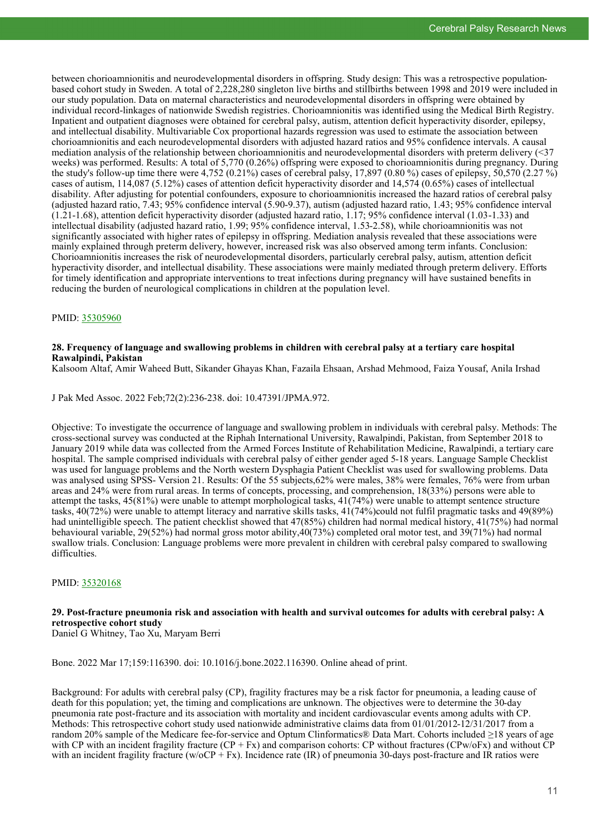between chorioamnionitis and neurodevelopmental disorders in offspring. Study design: This was a retrospective populationbased cohort study in Sweden. A total of 2,228,280 singleton live births and stillbirths between 1998 and 2019 were included in our study population. Data on maternal characteristics and neurodevelopmental disorders in offspring were obtained by individual record-linkages of nationwide Swedish registries. Chorioamnionitis was identified using the Medical Birth Registry. Inpatient and outpatient diagnoses were obtained for cerebral palsy, autism, attention deficit hyperactivity disorder, epilepsy, and intellectual disability. Multivariable Cox proportional hazards regression was used to estimate the association between chorioamnionitis and each neurodevelopmental disorders with adjusted hazard ratios and 95% confidence intervals. A causal mediation analysis of the relationship between chorioamnionitis and neurodevelopmental disorders with preterm delivery (<37 weeks) was performed. Results: A total of 5,770 (0.26%) offspring were exposed to chorioamnionitis during pregnancy. During the study's follow-up time there were  $4,752$  (0.21%) cases of cerebral palsy, 17,897 (0.80%) cases of epilepsy, 50,570 (2.27%) cases of autism, 114,087 (5.12%) cases of attention deficit hyperactivity disorder and 14,574 (0.65%) cases of intellectual disability. After adjusting for potential confounders, exposure to chorioamnionitis increased the hazard ratios of cerebral palsy (adjusted hazard ratio, 7.43; 95% confidence interval  $(5.90-9.37)$ , autism (adjusted hazard ratio, 1.43; 95% confidence interval  $(1.21-1.68)$ , attention deficit hyperactivity disorder (adjusted hazard ratio, 1.17; 95% confidence interval (1.03-1.33) and intellectual disability (adjusted hazard ratio, 1.99; 95% confidence interval, 1.53-2.58), while chorioamnionitis was not significantly associated with higher rates of epilepsy in offspring. Mediation analysis revealed that these associations were mainly explained through preterm delivery, however, increased risk was also observed among term infants. Conclusion: Chorioamnionitis increases the risk of neurodevelopmental disorders, particularly cerebral palsy, autism, attention deficit hyperactivity disorder, and intellectual disability. These associations were mainly mediated through preterm delivery. Efforts for timely identification and appropriate interventions to treat infections during pregnancy will have sustained benefits in reducing the burden of neurological complications in children at the population level.

# PMID: [35305960](http://www.ncbi.nlm.nih.gov/pubmed/35305960)

# **28. Frequency of language and swallowing problems in children with cerebral palsy at a tertiary care hospital Rawalpindi, Pakistan**

Kalsoom Altaf, Amir Waheed Butt, Sikander Ghayas Khan, Fazaila Ehsaan, Arshad Mehmood, Faiza Yousaf, Anila Irshad

J Pak Med Assoc. 2022 Feb;72(2):236-238. doi: 10.47391/JPMA.972.

Objective: To investigate the occurrence of language and swallowing problem in individuals with cerebral palsy. Methods: The cross-sectional survey was conducted at the Riphah International University, Rawalpindi, Pakistan, from September 2018 to January 2019 while data was collected from the Armed Forces Institute of Rehabilitation Medicine, Rawalpindi, a tertiary care hospital. The sample comprised individuals with cerebral palsy of either gender aged 5-18 years. Language Sample Checklist was used for language problems and the North western Dysphagia Patient Checklist was used for swallowing problems. Data was analysed using SPSS- Version 21. Results: Of the 55 subjects,62% were males, 38% were females, 76% were from urban areas and 24% were from rural areas. In terms of concepts, processing, and comprehension, 18(33%) persons were able to attempt the tasks, 45(81%) were unable to attempt morphological tasks, 41(74%) were unable to attempt sentence structure tasks, 40(72%) were unable to attempt literacy and narrative skills tasks, 41(74%)could not fulfil pragmatic tasks and 49(89%) had unintelligible speech. The patient checklist showed that 47(85%) children had normal medical history, 41(75%) had normal behavioural variable, 29(52%) had normal gross motor ability,40(73%) completed oral motor test, and 39(71%) had normal swallow trials. Conclusion: Language problems were more prevalent in children with cerebral palsy compared to swallowing difficulties.

# PMID: [35320168](http://www.ncbi.nlm.nih.gov/pubmed/35320168)

# **29. Post-fracture pneumonia risk and association with health and survival outcomes for adults with cerebral palsy: A retrospective cohort study**

Daniel G Whitney, Tao Xu, Maryam Berri

Bone. 2022 Mar 17;159:116390. doi: 10.1016/j.bone.2022.116390. Online ahead of print.

Background: For adults with cerebral palsy (CP), fragility fractures may be a risk factor for pneumonia, a leading cause of death for this population; yet, the timing and complications are unknown. The objectives were to determine the 30-day pneumonia rate post-fracture and its association with mortality and incident cardiovascular events among adults with CP. Methods: This retrospective cohort study used nationwide administrative claims data from 01/01/2012-12/31/2017 from a random 20% sample of the Medicare fee-for-service and Optum Clinformatics® Data Mart. Cohorts included ≥18 years of age with CP with an incident fragility fracture  $(CP + Fx)$  and comparison cohorts: CP without fractures  $(CPw/oFx)$  and without CP with an incident fragility fracture (w/oCP + Fx). Incidence rate (IR) of pneumonia 30-days post-fracture and IR ratios were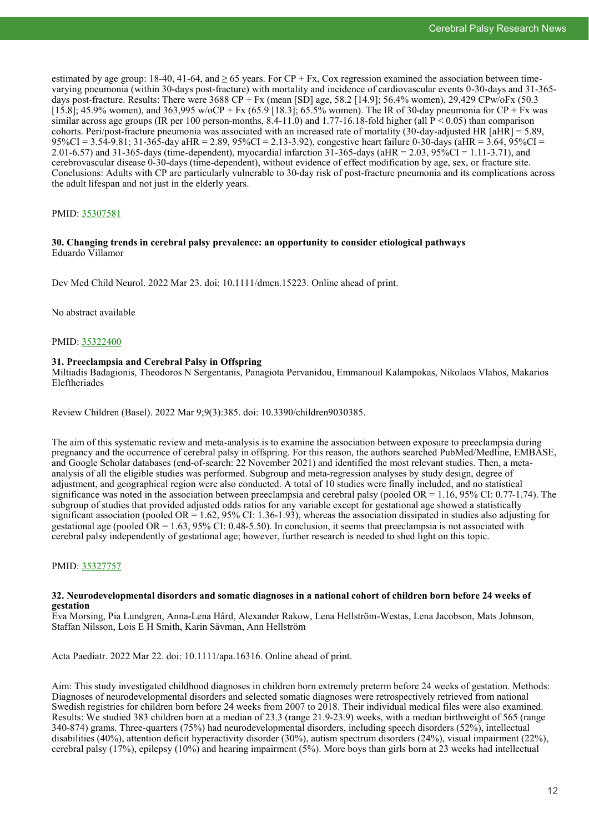estimated by age group: 18-40, 41-64, and  $\geq 65$  years. For CP + Fx, Cox regression examined the association between timevarying pneumonia (within 30-days post-fracture) with mortality and incidence of cardiovascular events 0-30-days and 31-365 days post-fracture. Results: There were 3688 CP + Fx (mean [SD] age, 58.2 [14.9]; 56.4% women), 29,429 CPw/oFx (50.3 [15.8]; 45.9% women), and 363,995 w/oCP + Fx (65.9 [18.3]; 65.5% women). The IR of 30-day pneumonia for CP + Fx was similar across age groups (IR per 100 person-months,  $8.4-11.0$ ) and  $1.77-16.18$ -fold higher (all P < 0.05) than comparison cohorts. Peri/post-fracture pneumonia was associated with an increased rate of mortality (30-day-adjusted HR  $[aHR] = 5.89$ ,  $95\%CI = 3.5\overline{4}$ -9.81; 31-365-day aHR = 2.89, 95%CI = 2.13-3.92), congestive heart failure 0-30-days (aHR = 3.64, 95%CI = 2.01-6.57) and 31-365-days (time-dependent), myocardial infarction 31-365-days (aHR = 2.03, 95%CI = 1.11-3.71), and cerebrovascular disease 0-30-days (time-dependent), without evidence of effect modification by age, sex, or fracture site. Conclusions: Adults with CP are particularly vulnerable to 30-day risk of post-fracture pneumonia and its complications across the adult lifespan and not just in the elderly years.

# PMID: [35307581](http://www.ncbi.nlm.nih.gov/pubmed/35307581)

# **30. Changing trends in cerebral palsy prevalence: an opportunity to consider etiological pathways** Eduardo Villamor

Dev Med Child Neurol. 2022 Mar 23. doi: 10.1111/dmcn.15223. Online ahead of print.

No abstract available

PMID: [35322400](http://www.ncbi.nlm.nih.gov/pubmed/35322400)

# **31. Preeclampsia and Cerebral Palsy in Offspring**

Miltiadis Badagionis, Theodoros N Sergentanis, Panagiota Pervanidou, Emmanouil Kalampokas, Nikolaos Vlahos, Makarios Eleftheriades

Review Children (Basel). 2022 Mar 9;9(3):385. doi: 10.3390/children9030385.

The aim of this systematic review and meta-analysis is to examine the association between exposure to preeclampsia during pregnancy and the occurrence of cerebral palsy in offspring. For this reason, the authors searched PubMed/Medline, EMBASE, and Google Scholar databases (end-of-search: 22 November 2021) and identified the most relevant studies. Then, a metaanalysis of all the eligible studies was performed. Subgroup and meta-regression analyses by study design, degree of adjustment, and geographical region were also conducted. A total of 10 studies were finally included, and no statistical significance was noted in the association between preeclampsia and cerebral palsy (pooled OR =  $1.16$ , 95% CI: 0.77-1.74). The subgroup of studies that provided adjusted odds ratios for any variable except for gestational age showed a statistically significant association (pooled OR = 1.62, 95% CI: 1.36-1.93), whereas the association dissipated in studies also adjusting for gestational age (pooled OR = 1.63, 95% CI: 0.48-5.50). In conclusion, it seems that preeclampsia is not associated with cerebral palsy independently of gestational age; however, further research is needed to shed light on this topic.

# PMID: [35327757](http://www.ncbi.nlm.nih.gov/pubmed/35327757)

#### **32. Neurodevelopmental disorders and somatic diagnoses in a national cohort of children born before 24 weeks of gestation**

Eva Morsing, Pia Lundgren, Anna-Lena Hård, Alexander Rakow, Lena Hellström-Westas, Lena Jacobson, Mats Johnson, Staffan Nilsson, Lois E H Smith, Karin Sävman, Ann Hellström

Acta Paediatr. 2022 Mar 22. doi: 10.1111/apa.16316. Online ahead of print.

Aim: This study investigated childhood diagnoses in children born extremely preterm before 24 weeks of gestation. Methods: Diagnoses of neurodevelopmental disorders and selected somatic diagnoses were retrospectively retrieved from national Swedish registries for children born before 24 weeks from 2007 to 2018. Their individual medical files were also examined. Results: We studied 383 children born at a median of 23.3 (range 21.9-23.9) weeks, with a median birthweight of 565 (range 340-874) grams. Three-quarters (75%) had neurodevelopmental disorders, including speech disorders (52%), intellectual disabilities (40%), attention deficit hyperactivity disorder (30%), autism spectrum disorders (24%), visual impairment (22%), cerebral palsy (17%), epilepsy (10%) and hearing impairment (5%). More boys than girls born at 23 weeks had intellectual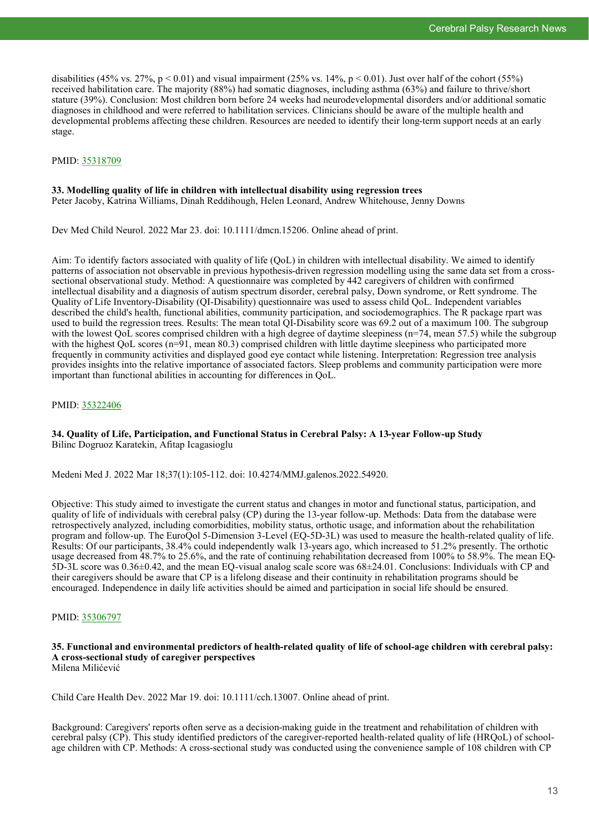disabilities (45% vs. 27%, p < 0.01) and visual impairment (25% vs. 14%, p < 0.01). Just over half of the cohort (55%) received habilitation care. The majority (88%) had somatic diagnoses, including asthma (63%) and failure to thrive/short stature (39%). Conclusion: Most children born before 24 weeks had neurodevelopmental disorders and/or additional somatic diagnoses in childhood and were referred to habilitation services. Clinicians should be aware of the multiple health and developmental problems affecting these children. Resources are needed to identify their long-term support needs at an early stage.

# PMID: [35318709](http://www.ncbi.nlm.nih.gov/pubmed/35318709)

#### **33. Modelling quality of life in children with intellectual disability using regression trees** Peter Jacoby, Katrina Williams, Dinah Reddihough, Helen Leonard, Andrew Whitehouse, Jenny Downs

Dev Med Child Neurol. 2022 Mar 23. doi: 10.1111/dmcn.15206. Online ahead of print.

Aim: To identify factors associated with quality of life (QoL) in children with intellectual disability. We aimed to identify patterns of association not observable in previous hypothesis-driven regression modelling using the same data set from a crosssectional observational study. Method: A questionnaire was completed by 442 caregivers of children with confirmed intellectual disability and a diagnosis of autism spectrum disorder, cerebral palsy, Down syndrome, or Rett syndrome. The Quality of Life Inventory-Disability (QI-Disability) questionnaire was used to assess child QoL. Independent variables described the child's health, functional abilities, community participation, and sociodemographics. The R package rpart was used to build the regression trees. Results: The mean total QI-Disability score was 69.2 out of a maximum 100. The subgroup with the lowest OoL scores comprised children with a high degree of daytime sleepiness (n=74, mean 57.5) while the subgroup with the highest QoL scores (n=91, mean 80.3) comprised children with little daytime sleepiness who participated more frequently in community activities and displayed good eye contact while listening. Interpretation: Regression tree analysis provides insights into the relative importance of associated factors. Sleep problems and community participation were more important than functional abilities in accounting for differences in QoL.

# PMID: [35322406](http://www.ncbi.nlm.nih.gov/pubmed/35322406)

# **34. Quality of Life, Participation, and Functional Status in Cerebral Palsy: A 13-year Follow-up Study** Bilinc Dogruoz Karatekin, Afitap Icagasioglu

Medeni Med J. 2022 Mar 18;37(1):105-112. doi: 10.4274/MMJ.galenos.2022.54920.

Objective: This study aimed to investigate the current status and changes in motor and functional status, participation, and quality of life of individuals with cerebral palsy (CP) during the 13-year follow-up. Methods: Data from the database were retrospectively analyzed, including comorbidities, mobility status, orthotic usage, and information about the rehabilitation program and follow-up. The EuroQol 5-Dimension 3-Level (EQ-5D-3L) was used to measure the health-related quality of life. Results: Of our participants, 38.4% could independently walk 13-years ago, which increased to 51.2% presently. The orthotic usage decreased from 48.7% to 25.6%, and the rate of continuing rehabilitation decreased from 100% to 58.9%. The mean EQ-5D-3L score was 0.36±0.42, and the mean EQ-visual analog scale score was 68±24.01. Conclusions: Individuals with CP and their caregivers should be aware that CP is a lifelong disease and their continuity in rehabilitation programs should be encouraged. Independence in daily life activities should be aimed and participation in social life should be ensured.

# PMID: [35306797](http://www.ncbi.nlm.nih.gov/pubmed/35306797)

#### **35. Functional and environmental predictors of health-related quality of life of school-age children with cerebral palsy: A cross-sectional study of caregiver perspectives** Milena Milićević

Child Care Health Dev. 2022 Mar 19. doi: 10.1111/cch.13007. Online ahead of print.

Background: Caregivers' reports often serve as a decision-making guide in the treatment and rehabilitation of children with cerebral palsy (CP). This study identified predictors of the caregiver-reported health-related quality of life (HRQoL) of schoolage children with CP. Methods: A cross-sectional study was conducted using the convenience sample of 108 children with CP